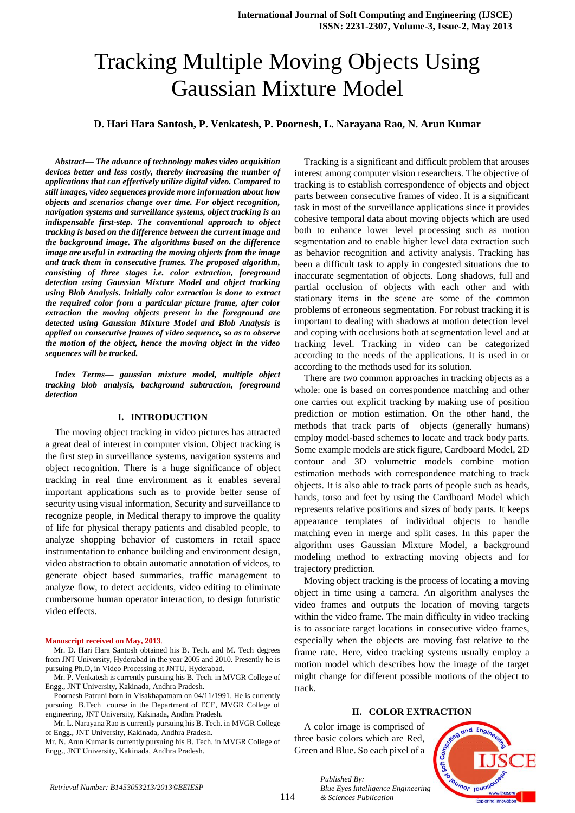# Tracking Multiple Moving Objects Using Gaussian Mixture Model

## **D. Hari Hara Santosh, P. Venkatesh, P. Poornesh, L. Narayana Rao, N. Arun Kumar**

*Abstract— The advance of technology makes video acquisition devices better and less costly, thereby increasing the number of applications that can effectively utilize digital video. Compared to still images, video sequences provide more information about how objects and scenarios change over time. For object recognition, navigation systems and surveillance systems, object tracking is an indispensable first-step. The conventional approach to object tracking is based on the difference between the current image and the background image. The algorithms based on the difference image are useful in extracting the moving objects from the image and track them in consecutive frames. The proposed algorithm, consisting of three stages i.e. color extraction, foreground detection using Gaussian Mixture Model and object tracking using Blob Analysis. Initially color extraction is done to extract the required color from a particular picture frame, after color extraction the moving objects present in the foreground are detected using Gaussian Mixture Model and Blob Analysis is applied on consecutive frames of video sequence, so as to observe the motion of the object, hence the moving object in the video sequences will be tracked.*

*Index Terms— gaussian mixture model, multiple object tracking blob analysis, background subtraction, foreground detection*

## **I. INTRODUCTION**

The moving object tracking in video pictures has attracted a great deal of interest in computer vision. Object tracking is the first step in surveillance systems, navigation systems and object recognition. There is a huge significance of object tracking in real time environment as it enables several important applications such as to provide better sense of security using visual information, Security and surveillance to recognize people, in Medical therapy to improve the quality of life for physical therapy patients and disabled people, to analyze shopping behavior of customers in retail space instrumentation to enhance building and environment design, video abstraction to obtain automatic annotation of videos, to generate object based summaries, traffic management to analyze flow, to detect accidents, video editing to eliminate cumbersome human operator interaction, to design futuristic video effects.

#### **Manuscript received on May, 2013**.

Mr. D. Hari Hara Santosh obtained his B. Tech. and M. Tech degrees from JNT University, Hyderabad in the year 2005 and 2010. Presently he is pursuing Ph.D, in Video Processing at JNTU, Hyderabad.

Mr. P. Venkatesh is currently pursuing his B. Tech. in MVGR College of Engg., JNT University, Kakinada, Andhra Pradesh.

Poornesh Patruni born in Visakhapatnam on 04/11/1991. He is currently pursuing B.Tech course in the Department of ECE, MVGR College of engineering, JNT University, Kakinada, Andhra Pradesh.

Mr. L. Narayana Rao is currently pursuing his B. Tech. in MVGR College of Engg., JNT University, Kakinada, Andhra Pradesh.

Mr. N. Arun Kumar is currently pursuing his B. Tech. in MVGR College of Engg., JNT University, Kakinada, Andhra Pradesh.

Tracking is a significant and difficult problem that arouses interest among computer vision researchers. The objective of tracking is to establish correspondence of objects and object parts between consecutive frames of video. It is a significant task in most of the surveillance applications since it provides cohesive temporal data about moving objects which are used both to enhance lower level processing such as motion segmentation and to enable higher level data extraction such as behavior recognition and activity analysis. Tracking has been a difficult task to apply in congested situations due to inaccurate segmentation of objects. Long shadows, full and partial occlusion of objects with each other and with stationary items in the scene are some of the common problems of erroneous segmentation. For robust tracking it is important to dealing with shadows at motion detection level and coping with occlusions both at segmentation level and at tracking level. Tracking in video can be categorized according to the needs of the applications. It is used in or according to the methods used for its solution.

There are two common approaches in tracking objects as a whole: one is based on correspondence matching and other one carries out explicit tracking by making use of position prediction or motion estimation. On the other hand, the methods that track parts of objects (generally humans) employ model-based schemes to locate and track body parts. Some example models are stick figure, Cardboard Model, 2D contour and 3D volumetric models combine motion estimation methods with correspondence matching to track objects. It is also able to track parts of people such as heads, hands, torso and feet by using the Cardboard Model which represents relative positions and sizes of body parts. It keeps appearance templates of individual objects to handle matching even in merge and split cases. In this paper the algorithm uses Gaussian Mixture Model, a background modeling method to extracting moving objects and for trajectory prediction.

Moving object tracking is the process of locating a moving object in time using a camera. An algorithm analyses the video frames and outputs the location of moving targets within the video frame. The main difficulty in video tracking is to associate target locations in consecutive video frames, especially when the objects are moving fast relative to the frame rate. Here, video tracking systems usually employ a motion model which describes how the image of the target might change for different possible motions of the object to track.

## **II. COLOR EXTRACTION**

A color image is comprised of three basic colors which are Red, Green and Blue. So each pixel of a

114



*Published By: Blue Eyes Intelligence Engineering & Sciences Publication*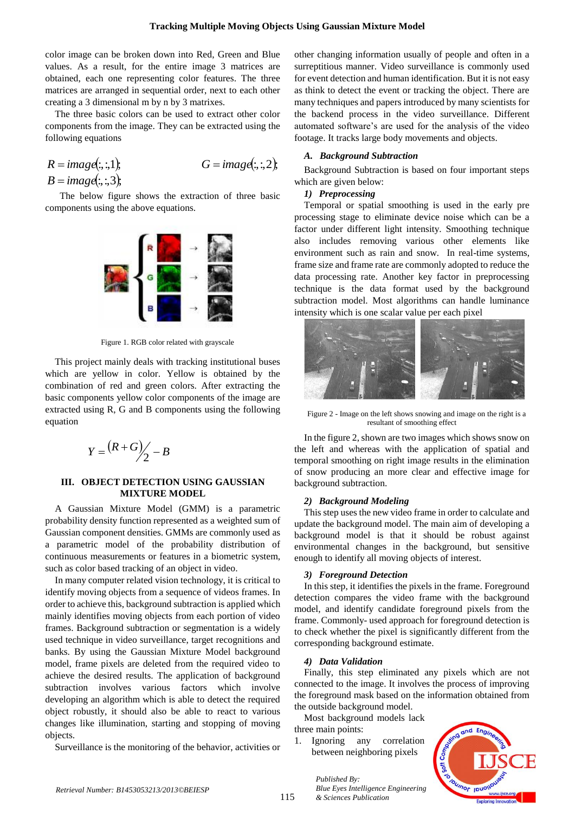color image can be broken down into Red, Green and Blue values. As a result, for the entire image 3 matrices are obtained, each one representing color features. The three matrices are arranged in sequential order, next to each other creating a 3 dimensional m by n by 3 matrixes.

The three basic colors can be used to extract other color components from the image. They can be extracted using the following equations

$$
R = image(:,:, 1); \qquad G = image(:,:, 2);
$$
  
\n
$$
B = image(:,:, 3);
$$

 The below figure shows the extraction of three basic components using the above equations.



Figure 1. RGB color related with grayscale

This project mainly deals with tracking institutional buses which are yellow in color. Yellow is obtained by the combination of red and green colors. After extracting the basic components yellow color components of the image are extracted using R, G and B components using the following equation

$$
Y = \frac{(R+G)}{2} - B
$$

## **III. OBJECT DETECTION USING GAUSSIAN MIXTURE MODEL**

A Gaussian Mixture Model (GMM) is a parametric probability density function represented as a weighted sum of Gaussian component densities. GMMs are commonly used as a parametric model of the probability distribution of continuous measurements or features in a biometric system, such as color based tracking of an object in video.

In many computer related vision technology, it is critical to identify moving objects from a sequence of videos frames. In order to achieve this, background subtraction is applied which mainly identifies moving objects from each portion of video frames. Background subtraction or segmentation is a widely used technique in video surveillance, target recognitions and banks. By using the Gaussian Mixture Model background model, frame pixels are deleted from the required video to achieve the desired results. The application of background subtraction involves various factors which involve developing an algorithm which is able to detect the required object robustly, it should also be able to react to various changes like illumination, starting and stopping of moving objects.

Surveillance is the monitoring of the behavior, activities or

other changing information usually of people and often in a surreptitious manner. Video surveillance is commonly used for event detection and human identification. But it is not easy as think to detect the event or tracking the object. There are many techniques and papers introduced by many scientists for the backend process in the video surveillance. Different automated software's are used for the analysis of the video footage. It tracks large body movements and objects.

#### *A. Background Subtraction*

Background Subtraction is based on four important steps which are given below:

## *1) Preprocessing*

Temporal or spatial smoothing is used in the early pre processing stage to eliminate device noise which can be a factor under different light intensity. Smoothing technique also includes removing various other elements like environment such as rain and snow. In real-time systems, frame size and frame rate are commonly adopted to reduce the data processing rate. Another key factor in preprocessing technique is the data format used by the background subtraction model. Most algorithms can handle luminance intensity which is one scalar value per each pixel



Figure 2 - Image on the left shows snowing and image on the right is a resultant of smoothing effect

In the figure 2, shown are two images which shows snow on the left and whereas with the application of spatial and temporal smoothing on right image results in the elimination of snow producing an more clear and effective image for background subtraction.

### *2) Background Modeling*

This step uses the new video frame in order to calculate and update the background model. The main aim of developing a background model is that it should be robust against environmental changes in the background, but sensitive enough to identify all moving objects of interest.

### *3) Foreground Detection*

In this step, it identifies the pixels in the frame. Foreground detection compares the video frame with the background model, and identify candidate foreground pixels from the frame. Commonly- used approach for foreground detection is to check whether the pixel is significantly different from the corresponding background estimate.

### *4) Data Validation*

Finally, this step eliminated any pixels which are not connected to the image. It involves the process of improving the foreground mask based on the information obtained from the outside background model.

Most background models lack three main points:

1. Ignoring any correlation between neighboring pixels

*Blue Eyes Intelligence Engineering* 

*Published By:*

*& Sciences Publication* 

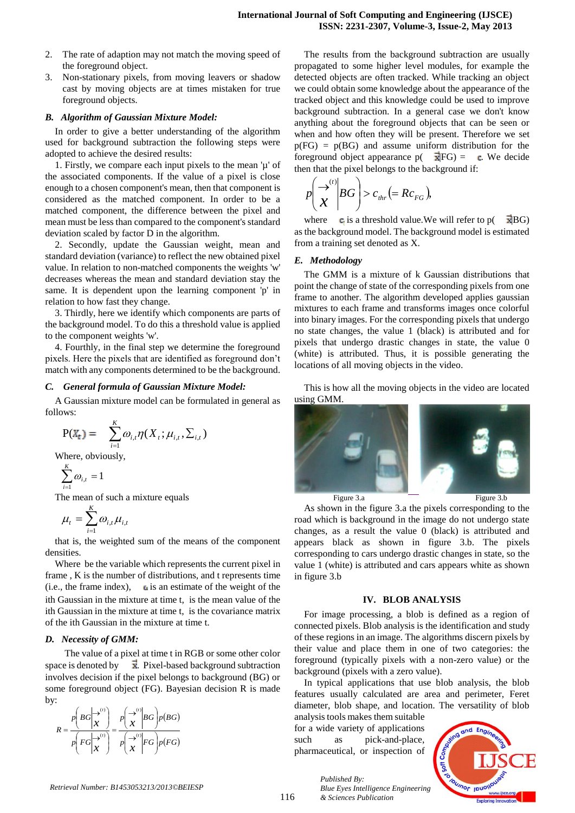- 2. The rate of adaption may not match the moving speed of the foreground object.
- 3. Non-stationary pixels, from moving leavers or shadow cast by moving objects are at times mistaken for true foreground objects.

### *B. Algorithm of Gaussian Mixture Model:*

In order to give a better understanding of the algorithm used for background subtraction the following steps were adopted to achieve the desired results:

1. Firstly, we compare each input pixels to the mean 'µ' of the associated components. If the value of a pixel is close enough to a chosen component's mean, then that component is considered as the matched component. In order to be a matched component, the difference between the pixel and mean must be less than compared to the component's standard deviation scaled by factor D in the algorithm.

2. Secondly, update the Gaussian weight, mean and standard deviation (variance) to reflect the new obtained pixel value. In relation to non-matched components the weights 'w' decreases whereas the mean and standard deviation stay the same. It is dependent upon the learning component 'p' in relation to how fast they change.

3. Thirdly, here we identify which components are parts of the background model. To do this a threshold value is applied to the component weights 'w'.

4. Fourthly, in the final step we determine the foreground pixels. Here the pixels that are identified as foreground don't match with any components determined to be the background.

#### *C. General formula of Gaussian Mixture Model:*

A Gaussian mixture model can be formulated in general as follows:

$$
P(X_t) = \sum_{i=1}^K \omega_{i,t} \eta(X_t; \mu_{i,t}, \Sigma_{i,t})
$$

Where, obviously,

$$
\sum_{i=1}^K \omega_{i,t} = 1
$$

The mean of such a mixture equals

$$
\mu_{t} = \sum_{i=1}^{K} \omega_{i,t} \mu_{i,t}
$$

that is, the weighted sum of the means of the component densities.

Where be the variable which represents the current pixel in frame , K is the number of distributions, and t represents time (i.e., the frame index),  $\boldsymbol{\mu}$  is an estimate of the weight of the ith Gaussian in the mixture at time t, is the mean value of the ith Gaussian in the mixture at time t, is the covariance matrix of the ith Gaussian in the mixture at time t.

#### *D. Necessity of GMM:*

The value of a pixel at time t in RGB or some other color space is denoted by  $\vec{x}$ . Pixel-based background subtraction involves decision if the pixel belongs to background (BG) or some foreground object (FG). Bayesian decision R is made by:

$$
R = \frac{p\left( BG \middle| \stackrel{\rightarrow}{x}^{(i)} \right)}{p\left( FG \middle| \stackrel{\rightarrow}{x}^{(i)} \right)} = \frac{p\left( \stackrel{\rightarrow}{x}^{(i)} \middle| BG \right) p(BG)}{p\left( \stackrel{\rightarrow}{x}^{(i)} \middle| FG \right) p(FG)}
$$

The results from the background subtraction are usually propagated to some higher level modules, for example the detected objects are often tracked. While tracking an object we could obtain some knowledge about the appearance of the tracked object and this knowledge could be used to improve background subtraction. In a general case we don't know anything about the foreground objects that can be seen or when and how often they will be present. Therefore we set  $p(FG) = p(BG)$  and assume uniform distribution for the foreground object appearance  $p(\vec{x}|FG) = \vec{c}$ . We decide then that the pixel belongs to the background if:

$$
p\left(\frac{\rightarrow^{(i)}}{\chi}\middle|BG\right)>c_{thr} (= Rc_{FG}),
$$

where  $\bullet$  is a threshold value. We will refer to p( $\overrightarrow{\mathbf{x}}$  BG) as the background model. The background model is estimated from a training set denoted as X.

## *E. Methodology*

The GMM is a mixture of k Gaussian distributions that point the change of state of the corresponding pixels from one frame to another. The algorithm developed applies gaussian mixtures to each frame and transforms images once colorful into binary images. For the corresponding pixels that undergo no state changes, the value 1 (black) is attributed and for pixels that undergo drastic changes in state, the value 0 (white) is attributed. Thus, it is possible generating the locations of all moving objects in the video.

This is how all the moving objects in the video are located using GMM.



As shown in the figure 3.a the pixels corresponding to the road which is background in the image do not undergo state changes, as a result the value 0 (black) is attributed and appears black as shown in figure 3.b. The pixels corresponding to cars undergo drastic changes in state, so the value 1 (white) is attributed and cars appears white as shown in figure 3.b

## **IV. BLOB ANALYSIS**

For image processing, a blob is defined as a region of connected pixels. Blob analysis is the identification and study of these regions in an image. The algorithms discern pixels by their value and place them in one of two categories: the foreground (typically pixels with a non-zero value) or the background (pixels with a zero value).

In typical applications that use blob analysis, the blob features usually calculated are area and perimeter, Feret diameter, blob shape, and location. The versatility of blob

analysis tools makes them suitable for a wide variety of applications such as pick-and-place, pharmaceutical, or inspection of

*& Sciences Publication* 

*Published By:*

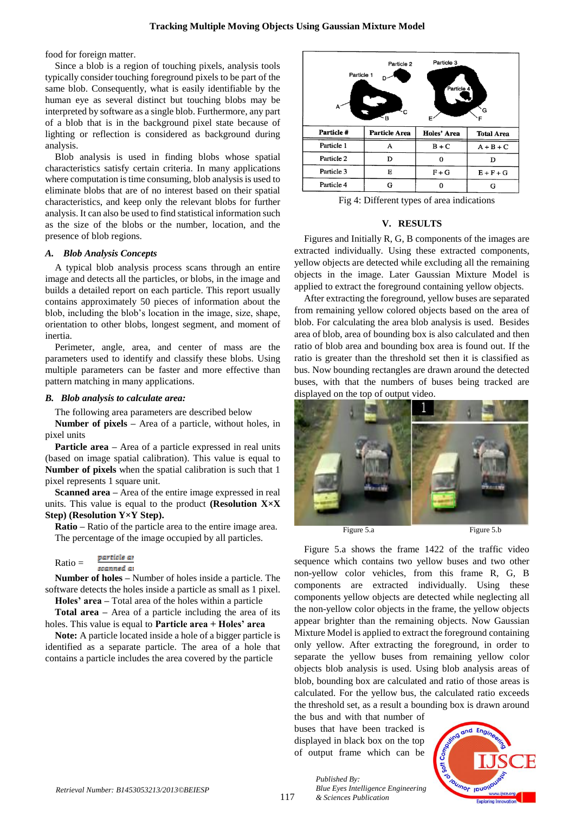food for foreign matter.

Since a blob is a region of touching pixels, analysis tools typically consider touching foreground pixels to be part of the same blob. Consequently, what is easily identifiable by the human eye as several distinct but touching blobs may be interpreted by software as a single blob. Furthermore, any part of a blob that is in the background pixel state because of lighting or reflection is considered as background during analysis.

Blob analysis is used in finding blobs whose spatial characteristics satisfy certain criteria. In many applications where computation is time consuming, blob analysis is used to eliminate blobs that are of no interest based on their spatial characteristics, and keep only the relevant blobs for further analysis. It can also be used to find statistical information such as the size of the blobs or the number, location, and the presence of blob regions.

## *A. Blob Analysis Concepts*

A typical blob analysis process scans through an entire image and detects all the particles, or blobs, in the image and builds a detailed report on each particle. This report usually contains approximately 50 pieces of information about the blob, including the blob's location in the image, size, shape, orientation to other blobs, longest segment, and moment of inertia.

Perimeter, angle, area, and center of mass are the parameters used to identify and classify these blobs. Using multiple parameters can be faster and more effective than pattern matching in many applications.

## *B. Blob analysis to calculate area:*

The following area parameters are described below

**Number of pixels –** Area of a particle, without holes, in pixel units

**Particle area** – Area of a particle expressed in real units (based on image spatial calibration). This value is equal to **Number of pixels** when the spatial calibration is such that 1 pixel represents 1 square unit.

**Scanned area –** Area of the entire image expressed in real units. This value is equal to the product **(Resolution X×X Step) (Resolution Y×Y Step).**

**Ratio –** Ratio of the particle area to the entire image area. The percentage of the image occupied by all particles.

Ratio = 
$$
\frac{\text{particle at}}{\text{scanned at}}
$$

**Number of holes –** Number of holes inside a particle. The software detects the holes inside a particle as small as 1 pixel. **Holes' area –** Total area of the holes within a particle

**Total area –** Area of a particle including the area of its holes. This value is equal to **Particle area + Holes' area**

**Note:** A particle located inside a hole of a bigger particle is identified as a separate particle. The area of a hole that contains a particle includes the area covered by the particle

| Particle 3<br>Particle 2<br>Particle 1<br>Particle 4<br>A<br>G<br>Ξв<br>E |                      |             |                   |  |
|---------------------------------------------------------------------------|----------------------|-------------|-------------------|--|
|                                                                           |                      |             |                   |  |
| Particle#                                                                 | <b>Particle Area</b> | Holes' Area | <b>Total Area</b> |  |
| Particle 1                                                                | A                    | $B + C$     | $A + B + C$       |  |
| Particle 2                                                                | D                    | 0           | D                 |  |
| Particle 3                                                                | Е                    | $F + G$     | $E + F + G$       |  |

Fig 4: Different types of area indications

## **V. RESULTS**

Figures and Initially R, G, B components of the images are extracted individually. Using these extracted components, yellow objects are detected while excluding all the remaining objects in the image. Later Gaussian Mixture Model is applied to extract the foreground containing yellow objects.

After extracting the foreground, yellow buses are separated from remaining yellow colored objects based on the area of blob. For calculating the area blob analysis is used. Besides area of blob, area of bounding box is also calculated and then ratio of blob area and bounding box area is found out. If the ratio is greater than the threshold set then it is classified as bus. Now bounding rectangles are drawn around the detected buses, with that the numbers of buses being tracked are displayed on the top of output video.



Figure 5.a shows the frame 1422 of the traffic video sequence which contains two yellow buses and two other non-yellow color vehicles, from this frame R, G, B components are extracted individually. Using these components yellow objects are detected while neglecting all the non-yellow color objects in the frame, the yellow objects appear brighter than the remaining objects. Now Gaussian Mixture Model is applied to extract the foreground containing only yellow. After extracting the foreground, in order to separate the yellow buses from remaining yellow color objects blob analysis is used. Using blob analysis areas of blob, bounding box are calculated and ratio of those areas is calculated. For the yellow bus, the calculated ratio exceeds the threshold set, as a result a bounding box is drawn around

the bus and with that number of buses that have been tracked is displayed in black box on the top of output frame which can be

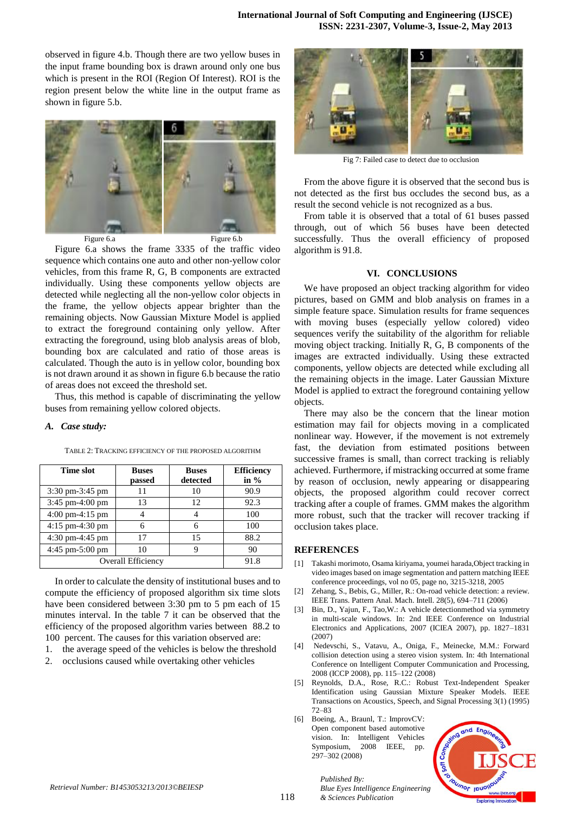observed in figure 4.b. Though there are two yellow buses in the input frame bounding box is drawn around only one bus which is present in the ROI (Region Of Interest). ROI is the region present below the white line in the output frame as shown in figure 5.b.



Figure 6.a shows the frame 3335 of the traffic video sequence which contains one auto and other non-yellow color vehicles, from this frame R, G, B components are extracted individually. Using these components yellow objects are detected while neglecting all the non-yellow color objects in the frame, the yellow objects appear brighter than the remaining objects. Now Gaussian Mixture Model is applied to extract the foreground containing only yellow. After extracting the foreground, using blob analysis areas of blob, bounding box are calculated and ratio of those areas is calculated. Though the auto is in yellow color, bounding box is not drawn around it as shown in figure 6.b because the ratio of areas does not exceed the threshold set.

Thus, this method is capable of discriminating the yellow buses from remaining yellow colored objects.

#### *A. Case study:*

| Time slot                         | <b>Buses</b><br>passed | <b>Buses</b><br>detected | <b>Efficiency</b><br>in $%$ |
|-----------------------------------|------------------------|--------------------------|-----------------------------|
| $3:30 \text{ pm}-3:45 \text{ pm}$ |                        | 10                       | 90.9                        |
| $3:45$ pm-4:00 pm                 | 13                     | 12                       | 92.3                        |
| $4:00 \text{ pm}-4:15 \text{ pm}$ |                        |                          | 100                         |
| $4:15$ pm- $4:30$ pm              |                        | 6                        | 100                         |
| $4:30 \text{ pm}-4:45 \text{ pm}$ | 17                     | 15                       | 88.2                        |
| $4:45$ pm $-5:00$ pm              | 10                     | 9                        | 90                          |
| Overall Efficiency                | 91.8                   |                          |                             |

TABLE 2: TRACKING EFFICIENCY OF THE PROPOSED ALGORITHM

In order to calculate the density of institutional buses and to compute the efficiency of proposed algorithm six time slots have been considered between 3:30 pm to 5 pm each of 15 minutes interval. In the table 7 it can be observed that the efficiency of the proposed algorithm varies between 88.2 to 100 percent. The causes for this variation observed are:

1. the average speed of the vehicles is below the threshold

2. occlusions caused while overtaking other vehicles



Fig 7: Failed case to detect due to occlusion

From the above figure it is observed that the second bus is not detected as the first bus occludes the second bus, as a result the second vehicle is not recognized as a bus.

From table it is observed that a total of 61 buses passed through, out of which 56 buses have been detected successfully. Thus the overall efficiency of proposed algorithm is 91.8.

#### **VI. CONCLUSIONS**

We have proposed an object tracking algorithm for video pictures, based on GMM and blob analysis on frames in a simple feature space. Simulation results for frame sequences with moving buses (especially yellow colored) video sequences verify the suitability of the algorithm for reliable moving object tracking. Initially R, G, B components of the images are extracted individually. Using these extracted components, yellow objects are detected while excluding all the remaining objects in the image. Later Gaussian Mixture Model is applied to extract the foreground containing yellow objects.

There may also be the concern that the linear motion estimation may fail for objects moving in a complicated nonlinear way. However, if the movement is not extremely fast, the deviation from estimated positions between successive frames is small, than correct tracking is reliably achieved. Furthermore, if mistracking occurred at some frame by reason of occlusion, newly appearing or disappearing objects, the proposed algorithm could recover correct tracking after a couple of frames. GMM makes the algorithm more robust, such that the tracker will recover tracking if occlusion takes place.

## **REFERENCES**

- [1] Takashi morimoto, Osama kiriyama, youmei harada,Object tracking in video images based on image segmentation and pattern matching IEEE conference proceedings, vol no 05, page no, 3215-3218, 2005
- [2] Zehang, S., Bebis, G., Miller, R.: On-road vehicle detection: a review. IEEE Trans. Pattern Anal. Mach. Intell. 28(5), 694–711 (2006)
- [3] Bin, D., Yajun, F., Tao,W.: A vehicle detectionmethod via symmetry in multi-scale windows. In: 2nd IEEE Conference on Industrial Electronics and Applications, 2007 (ICIEA 2007), pp. 1827–1831 (2007)
- [4] Nedevschi, S., Vatavu, A., Oniga, F., Meinecke, M.M.: Forward collision detection using a stereo vision system. In: 4th International Conference on Intelligent Computer Communication and Processing, 2008 (ICCP 2008), pp. 115–122 (2008)
- [5] Reynolds, D.A., Rose, R.C.: Robust Text-Independent Speaker Identification using Gaussian Mixture Speaker Models. IEEE Transactions on Acoustics, Speech, and Signal Processing 3(1) (1995) 72–83
- [6] Boeing, A., Braunl, T.: ImprovCV: Open component based automotive vision. In: Intelligent Vehicles Symposium, 2008 IEEE, pp. 297–302 (2008)

*& Sciences Publication* 

*Published By:*